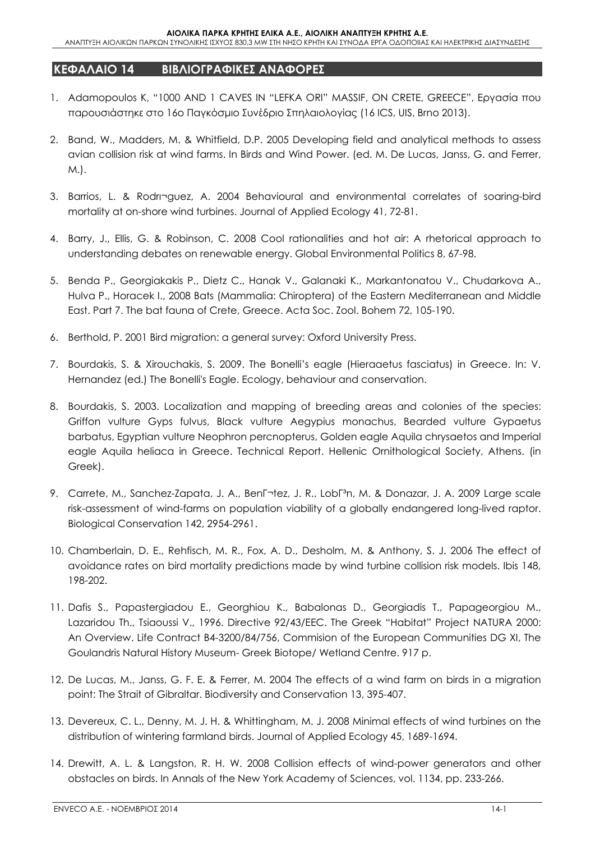## **ΚΕΦΑΛΑΙΟ 14 ΒΙΒΛΙΟΓΡΑΦΙΚΕΣ ΑΝΑΦΟΡΕΣ**

- 1. Adamopoulos K, "1000 AND 1 CAVES IN "LEFKA ORI" MASSIF, ON CRETE, GREECE", Εργασία που παρουσιάστηκε στο 16ο Παγκόσμιο Συνέδριο Σπηλαιολογίας (16 ICS, UIS, Brno 2013).
- 2. Band, W., Madders, M. & Whitfield, D.P. 2005 Developing field and analytical methods to assess avian collision risk at wind farms. In Birds and Wind Power. (ed. M. De Lucas, Janss, G. and Ferrer, M.).
- 3. Barrios, L. & Rodrnguez, A. 2004 Behavioural and environmental correlates of soaring-bird mortality at on-shore wind turbines. Journal of Applied Ecology 41, 72-81.
- 4. Barry, J., Ellis, G. & Robinson, C. 2008 Cool rationalities and hot air: A rhetorical approach to understanding debates on renewable energy. Global Environmental Politics 8, 67-98.
- 5. Benda P., Georgiakakis P., Dietz C., Hanak V., Galanaki K., Markantonatou V., Chudarkova A., Hulva P., Horacek I., 2008 Bats (Mammalia: Chiroptera) of the Eastern Mediterranean and Middle East. Part 7. The bat fauna of Crete, Greece. Acta Soc. Zool. Bohem 72, 105-190.
- 6. Berthold, P. 2001 Bird migration: a general survey: Oxford University Press.
- 7. Bourdakis, S. & Xirouchakis, S. 2009. The Bonelli's eagle (Hieraaetus fasciatus) in Greece. In: V. Hernandez (ed.) The Bonelli's Eagle. Ecology, behaviour and conservation.
- 8. Bourdakis, S. 2003. Localization and mapping of breeding areas and colonies of the species: Griffon vulture Gyps fulvus, Black vulture Aegypius monachus, Bearded vulture Gypaetus barbatus, Egyptian vulture Neophron percnopterus, Golden eagle Aquila chrysaetos and Imperial eagle Aquila heliaca in Greece. Technical Report. Hellenic Ornithological Society, Athens. (in Greek).
- 9. Carrete, M., Sanchez-Zapata, J. A., Benìtez, J. R., LobΓªn, M. & Donazar, J. A. 2009 Large scale risk-assessment of wind-farms on population viability of a globally endangered long-lived raptor. Biological Conservation 142, 2954-2961.
- 10. Chamberlain, D. E., Rehfisch, M. R., Fox, A. D., Desholm, M. & Anthony, S. J. 2006 The effect of avoidance rates on bird mortality predictions made by wind turbine collision risk models. Ibis 148, 198-202.
- 11. Dafis S., Papastergiadou E., Georghiou K., Babalonas D., Georgiadis T., Papageorgiou M., Lazaridou Th., Tsiaoussi V., 1996. Directive 92/43/EEC. The Greek "Habitat" Project NATURA 2000: An Overview. Life Contract B4-3200/84/756, Commision of the European Communities DG XI, The Goulandris Natural History Museum- Greek Biotope/ Wetland Centre. 917 p.
- 12. De Lucas, M., Janss, G. F. E. & Ferrer, M. 2004 The effects of a wind farm on birds in a migration point: The Strait of Gibraltar. Biodiversity and Conservation 13, 395-407.
- 13. Devereux, C. L., Denny, M. J. H. & Whittingham, M. J. 2008 Minimal effects of wind turbines on the distribution of wintering farmland birds. Journal of Applied Ecology 45, 1689-1694.
- 14. Drewitt, A. L. & Langston, R. H. W. 2008 Collision effects of wind-power generators and other obstacles on birds. In Annals of the New York Academy of Sciences, vol. 1134, pp. 233-266.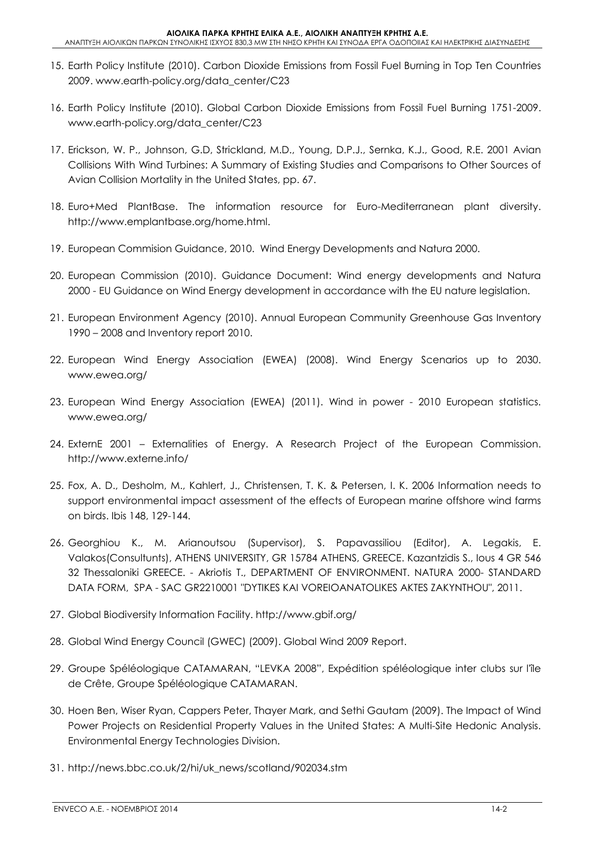- 15. Earth Policy Institute (2010). Carbon Dioxide Emissions from Fossil Fuel Burning in Top Ten Countries 2009. www.earth-policy.org/data\_center/C23
- 16. Earth Policy Institute (2010). Global Carbon Dioxide Emissions from Fossil Fuel Burning 1751-2009. www.earth-policy.org/data\_center/C23
- 17. Erickson, W. P., Johnson, G.D, Strickland, M.D., Young, D.P.J., Sernka, K.J., Good, R.E. 2001 Avian Collisions With Wind Turbines: A Summary of Existing Studies and Comparisons to Other Sources of Avian Collision Mortality in the United States, pp. 67.
- 18. Euro+Med PlantBase. The information resource for Euro-Mediterranean plant diversity. http://www.emplantbase.org/home.html.
- 19. European Commision Guidance, 2010. Wind Energy Developments and Natura 2000.
- 20. European Commission (2010). Guidance Document: Wind energy developments and Natura 2000 - EU Guidance on Wind Energy development in accordance with the EU nature legislation.
- 21. European Environment Agency (2010). Annual European Community Greenhouse Gas Inventory 1990 – 2008 and Inventory report 2010.
- 22. European Wind Energy Association (EWEA) (2008). Wind Energy Scenarios up to 2030. www.ewea.org/
- 23. European Wind Energy Association (EWEA) (2011). Wind in power 2010 European statistics. www.ewea.org/
- 24. ExternE 2001 Externalities of Energy. A Research Project of the European Commission. http://www.externe.info/
- 25. Fox, A. D., Desholm, M., Kahlert, J., Christensen, T. K. & Petersen, I. K. 2006 Information needs to support environmental impact assessment of the effects of European marine offshore wind farms on birds. Ibis 148, 129-144.
- 26. Georghiou K., M. Arianoutsou (Supervisor), S. Papavassiliou (Editor), A. Legakis, E. Valakos(Consultunts), ATHENS UNIVERSITY, GR 15784 ATHENS, GREECE. Kazantzidis S., Ious 4 GR 546 32 Thessaloniki GREECE. - Akriotis T., DEPARTMENT OF ENVIRONMENT. NATURA 2000- STANDARD DATA FORM, SPA - SAC GR2210001 "DYTIKES KAI VOREIOANATOLIKES AKTES ZAKYNTHOU", 2011.
- 27. Global Biodiversity Information Facility. http://www.gbif.org/
- 28. Global Wind Energy Council (GWEC) (2009). Global Wind 2009 Report.
- 29. Groupe Spéléologique CATAMARAN, "LEVKA 2008", Expédition spéléologique inter clubs sur l'île de Crête, Groupe Spéléologique CATAMARAN.
- 30. Hoen Ben, Wiser Ryan, Cappers Peter, Thayer Mark, and Sethi Gautam (2009). The Impact of Wind Power Projects on Residential Property Values in the United States: A Multi-Site Hedonic Analysis. Environmental Energy Technologies Division.
- 31. http://news.bbc.co.uk/2/hi/uk\_news/scotland/902034.stm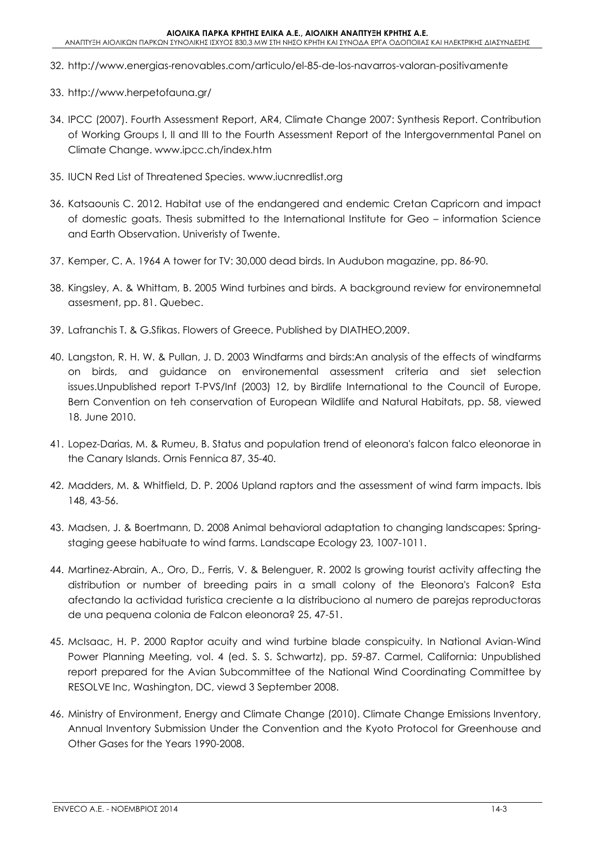- 32. http://www.energias-renovables.com/articulo/el-85-de-los-navarros-valoran-positivamente
- 33. http://www.herpetofauna.gr/
- 34. IPCC (2007). Fourth Assessment Report, AR4, Climate Change 2007: Synthesis Report. Contribution of Working Groups I, II and III to the Fourth Assessment Report of the Intergovernmental Panel on Climate Change. www.ipcc.ch/index.htm
- 35. IUCN Red List of Threatened Species. www.iucnredlist.org
- 36. Katsaounis C. 2012. Habitat use of the endangered and endemic Cretan Capricorn and impact of domestic goats. Thesis submitted to the International Institute for Geo – information Science and Earth Observation. Univeristy of Twente.
- 37. Kemper, C. A. 1964 A tower for TV: 30,000 dead birds. In Audubon magazine, pp. 86-90.
- 38. Kingsley, A. & Whittam, B. 2005 Wind turbines and birds. A background review for environemnetal assesment, pp. 81. Quebec.
- 39. Lafranchis T. & G.Sfikas. Flowers of Greece. Published by DIATHEO,2009.
- 40. Langston, R. H. W. & Pullan, J. D. 2003 Windfarms and birds:An analysis of the effects of windfarms on birds, and guidance on environemental assessment criteria and siet selection issues.Unpublished report T-PVS/Inf (2003) 12, by Birdlife International to the Council of Europe, Bern Convention on teh conservation of European Wildlife and Natural Habitats, pp. 58, viewed 18. June 2010.
- 41. Lopez-Darias, M. & Rumeu, B. Status and population trend of eleonora's falcon falco eleonorae in the Canary Islands. Ornis Fennica 87, 35-40.
- 42. Madders, M. & Whitfield, D. P. 2006 Upland raptors and the assessment of wind farm impacts. Ibis 148, 43-56.
- 43. Madsen, J. & Boertmann, D. 2008 Animal behavioral adaptation to changing landscapes: Springstaging geese habituate to wind farms. Landscape Ecology 23, 1007-1011.
- 44. Martinez-Abrain, A., Oro, D., Ferris, V. & Belenguer, R. 2002 Is growing tourist activity affecting the distribution or number of breeding pairs in a small colony of the Eleonora's Falcon? Esta afectando la actividad turistica creciente a la distribuciono al numero de parejas reproductoras de una pequena colonia de Falcon eleonora? 25, 47-51.
- 45. McIsaac, H. P. 2000 Raptor acuity and wind turbine blade conspicuity. In National Avian-Wind Power Planning Meeting, vol. 4 (ed. S. S. Schwartz), pp. 59-87. Carmel, California: Unpublished report prepared for the Avian Subcommittee of the National Wind Coordinating Committee by RESOLVE Inc, Washington, DC, viewd 3 September 2008.
- 46. Ministry of Environment, Energy and Climate Change (2010). Climate Change Emissions Inventory, Annual Inventory Submission Under the Convention and the Kyoto Protocol for Greenhouse and Other Gases for the Years 1990-2008.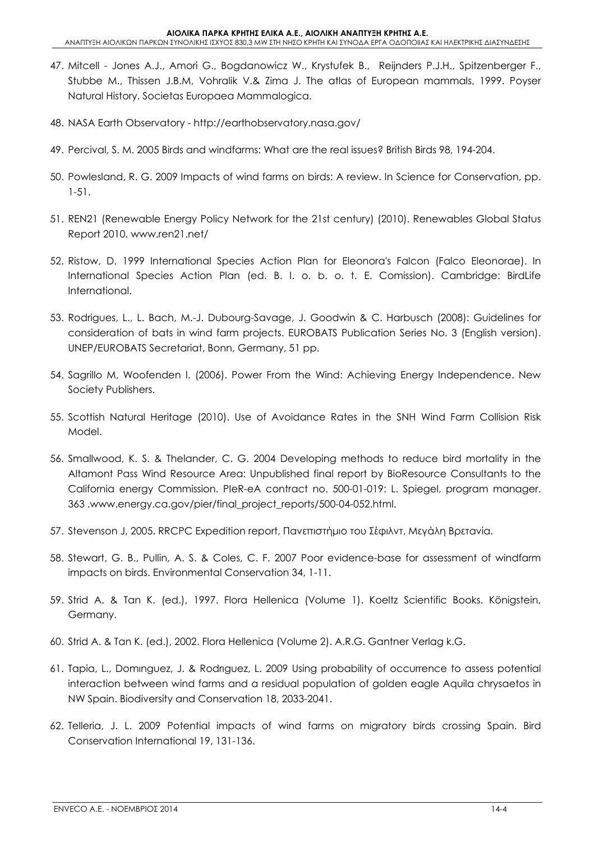- 47. Mitcell Jones A.J., Amori G., Bogdanowicz W., Krystufek B., Reijnders P.J.H., Spitzenberger F., Stubbe M., Thissen J.B.M, Vohralik V.& Zima J. The atlas of European mammals, 1999. Poyser Natural History. Societas Europaea Mammalogica.
- 48. NASA Earth Observatory http://earthobservatory.nasa.gov/
- 49. Percival, S. M. 2005 Birds and windfarms: What are the real issues? British Birds 98, 194-204.
- 50. Powlesland, R. G. 2009 Impacts of wind farms on birds: A review. In Science for Conservation, pp. 1-51.
- 51. REN21 (Renewable Energy Policy Network for the 21st century) (2010). Renewables Global Status Report 2010. www.ren21.net/
- 52. Ristow, D. 1999 International Species Action Plan for Eleonora's Falcon (Falco Eleonorae). In International Species Action Plan (ed. B. I. o. b. o. t. E. Comission). Cambridge: BirdLife International.
- 53. Rodrigues, L., L. Bach, M.-J. Dubourg-Savage, J. Goodwin & C. Harbusch (2008): Guidelines for consideration of bats in wind farm projects. EUROBATS Publication Series No. 3 (English version). UNEP/EUROBATS Secretariat, Bonn, Germany, 51 pp.
- 54. Sagrillo M, Woofenden I. (2006). Power From the Wind: Achieving Energy Independence. New Society Publishers.
- 55. Scottish Natural Heritage (2010). Use of Avoidance Rates in the SNH Wind Farm Collision Risk Model.
- 56. Smallwood, K. S. & Thelander, C. G. 2004 Developing methods to reduce bird mortality in the Altamont Pass Wind Resource Area: Unpublished final report by BioResource Consultants to the California energy Commission. PIeR-eA contract no. 500-01-019: L. Spiegel, program manager. 363 .www.energy.ca.gov/pier/final\_project\_reports/500-04-052.html.
- 57. Stevenson J, 2005. RRCPC Expedition report, Πανεπιστήμιο του Σέφιλντ, Μεγάλη Βρετανία.
- 58. Stewart, G. B., Pullin, A. S. & Coles, C. F. 2007 Poor evidence-base for assessment of windfarm impacts on birds. Environmental Conservation 34, 1-11.
- 59. Strid A. & Tan K. (ed.), 1997. Flora Hellenica (Volume 1). Koeltz Scientific Books. Königstein, Germany.
- 60. Strid A. & Tan K. (ed.), 2002. Flora Hellenica (Volume 2). A.R.G. Gantner Verlag k.G.
- 61. Tapia, L., Domιnguez, J. & Rodrιguez, L. 2009 Using probability of occurrence to assess potential interaction between wind farms and a residual population of golden eagle Aquila chrysaetos in NW Spain. Biodiversity and Conservation 18, 2033-2041.
- 62. Telleria, J. L. 2009 Potential impacts of wind farms on migratory birds crossing Spain. Bird Conservation International 19, 131-136.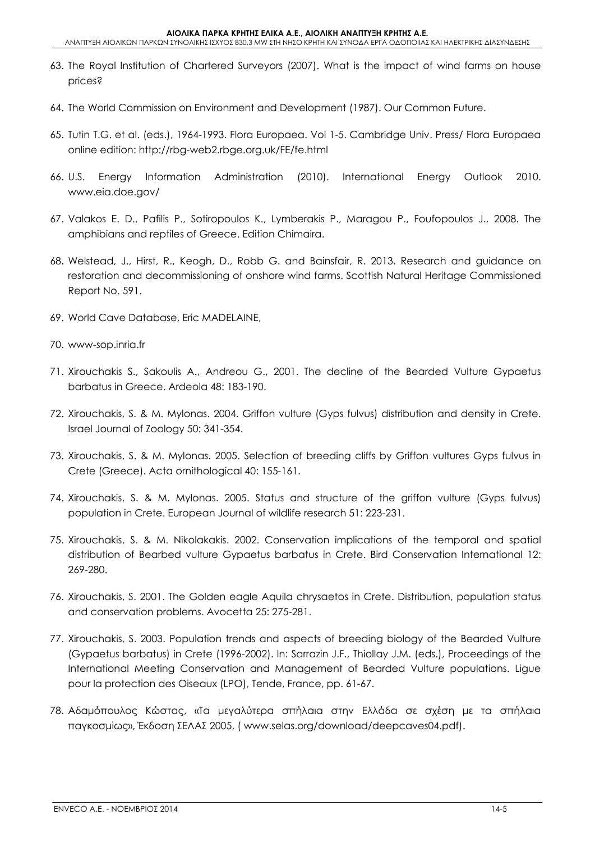- 63. The Royal Institution of Chartered Surveyors (2007). What is the impact of wind farms on house prices?
- 64. The World Commission on Environment and Development (1987). Our Common Future.
- 65. Tutin T.G. et al. (eds.), 1964-1993. Flora Europaea. Vol 1-5. Cambridge Univ. Press/ Flora Europaea online edition: http://rbg-web2.rbge.org.uk/FE/fe.html
- 66. U.S. Energy Information Administration (2010). International Energy Outlook 2010. www.eia.doe.gov/
- 67. Valakos E. D., Pafilis P., Sotiropoulos K., Lymberakis P., Maragou P., Foufopoulos J., 2008. The amphibians and reptiles of Greece. Edition Chimaira.
- 68. Welstead, J., Hirst, R., Keogh, D., Robb G. and Bainsfair, R. 2013. Research and guidance on restoration and decommissioning of onshore wind farms. Scottish Natural Heritage Commissioned Report No. 591.
- 69. World Cave Database, Eric MADELAINE,
- 70. www-sop.inria.fr
- 71. Xirouchakis S., Sakoulis A., Andreou G., 2001. The decline of the Bearded Vulture Gypaetus barbatus in Greece. Ardeola 48: 183-190.
- 72. Xirouchakis, S. & M. Mylonas. 2004. Griffon vulture (Gyps fulvus) distribution and density in Crete. Israel Journal of Zoology 50: 341-354.
- 73. Xirouchakis, S. & M. Mylonas. 2005. Selection of breeding cliffs by Griffon vultures Gyps fulvus in Crete (Greece). Acta ornithological 40: 155-161.
- 74. Xirouchakis, S. & M. Mylonas. 2005. Status and structure of the griffon vulture (Gyps fulvus) population in Crete. European Journal of wildlife research 51: 223-231.
- 75. Xirouchakis, S. & M. Nikolakakis. 2002. Conservation implications of the temporal and spatial distribution of Bearbed vulture Gypaetus barbatus in Crete. Bird Conservation International 12: 269-280.
- 76. Xirouchakis, S. 2001. The Golden eagle Aquila chrysaetos in Crete. Distribution, population status and conservation problems. Avocetta 25: 275-281.
- 77. Xirouchakis, S. 2003. Population trends and aspects of breeding biology of the Bearded Vulture (Gypaetus barbatus) in Crete (1996-2002). In: Sarrazin J.F., Thiollay J.M. (eds.), Proceedings of the International Meeting Conservation and Management of Bearded Vulture populations. Ligue pour la protection des Oiseaux (LPO), Tende, France, pp. 61-67.
- 78. Αδαμόπουλος Κώστας, «Τα μεγαλύτερα σπήλαια στην Ελλάδα σε σχέση με τα σπήλαια παγκοσμίως», Έκδοση ΣΕΛΑΣ 2005, ( www.selas.org/download/deepcaves04.pdf).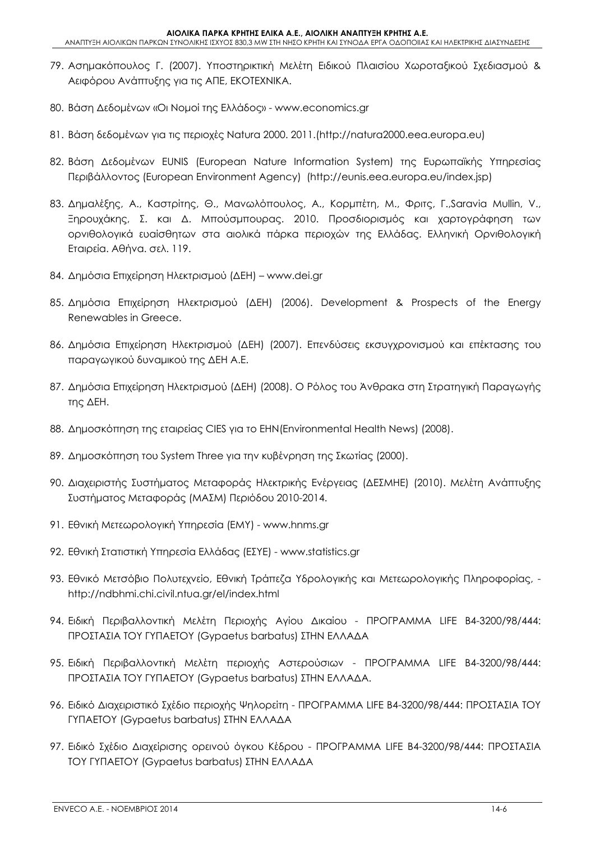- 79. Ασημακόπουλος Γ. (2007). Υποστηρικτική Μελέτη Ειδικού Πλαισίου Χωροταξικού Σχεδιασμού & Αειφόρου Ανάπτυξης για τις ΑΠΕ, ΕΚΟΤΕΧΝΙΚΑ.
- 80. Βάση Δεδομένων «Οι Νομοί της Ελλάδος» www.economics.gr
- 81. Βάση δεδομένων για τις περιοχές Natura 2000. 2011.(http://natura2000.eea.europa.eu)
- 82. Βάση Δεδομένων ΕUNIS (European Nature Information System) της Ευρωπαϊκής Υπηρεσίας Περιβάλλοντος (European Environment Agency) (http://eunis.eea.europa.eu/index.jsp)
- 83. Δημαλέξης, Α., Καστρίτης, Θ., Μανωλόπουλος, Α., Κορμπέτη, Μ., Φριτς, Γ.,Saravia Mullin, V., Ξηρουχάκης, Σ. και Δ. Μπούσμπουρας. 2010. Προσδιορισμός και χαρτογράφηση των ορνιθολογικά ευαίσθητων στα αιολικά πάρκα περιοχών της Ελλάδας. Ελληνική Ορνιθολογική Εταιρεία. Αθήνα. σελ. 119.
- 84. Δημόσια Επιχείρηση Ηλεκτρισμού (ΔΕΗ) www.dei.gr
- 85. Δημόσια Επιχείρηση Ηλεκτρισμού (ΔΕΗ) (2006). Development & Prospects of the Energy Renewables in Greece.
- 86. Δημόσια Επιχείρηση Ηλεκτρισμού (ΔΕΗ) (2007). Επενδύσεις εκσυγχρονισμού και επέκτασης του παραγωγικού δυναμικού της ΔΕΗ Α.Ε.
- 87. Δημόσια Επιχείρηση Ηλεκτρισμού (ΔΕΗ) (2008). O Ρόλος του Άνθρακα στη Στρατηγική Παραγωγής της ΔΕΗ.
- 88. Δημοσκόπηση της εταιρείας CIES για το EHN(Environmental Health News) (2008).
- 89. Δημοσκόπηση του System Three για την κυβένρηση της Σκωτίας (2000).
- 90. Διαχειριστής Συστήματος Μεταφοράς Ηλεκτρικής Ενέργειας (ΔΕΣΜΗΕ) (2010). Μελέτη Ανάπτυξης Συστήματος Μεταφοράς (ΜΑΣΜ) Περιόδου 2010-2014.
- 91. Εθνική Μετεωρολογική Υπηρεσία (ΕΜΥ) www.hnms.gr
- 92. Εθνική Στατιστική Υπηρεσία Ελλάδας (ΕΣΥΕ) www.statistics.gr
- 93. Εθνικό Μετσόβιο Πολυτεχνείο, Εθνική Τράπεζα Υδρολογικής και Μετεωρολογικής Πληροφορίας, http://ndbhmi.chi.civil.ntua.gr/el/index.html
- 94. Ειδική Περιβαλλοντική Μελέτη Περιοχής Αγίου Δικαίου ΠΡΟΓΡΑΜΜΑ LIFE B4-3200/98/444: ΠΡΟΣΤΑΣΙΑ ΤΟΥ ΓΥΠΑΕΤΟΥ (Gypaetus barbatus) ΣΤΗΝ ΕΛΛΑΔΑ
- 95. Ειδική Περιβαλλοντική Μελέτη περιοχής Αστερούσιων ΠΡΟΓΡΑΜΜΑ LIFE B4-3200/98/444: ΠΡΟΣΤΑΣΙΑ ΤΟΥ ΓΥΠΑΕΤΟΥ (Gypaetus barbatus) ΣΤΗΝ ΕΛΛΑΔΑ.
- 96. Ειδικό Διαχειριστικό Σχέδιο περιοχής Ψηλορείτη ΠΡΟΓΡΑΜΜΑ LIFE B4-3200/98/444: ΠΡΟΣΤΑΣΙΑ ΤΟΥ ΓΥΠΑΕΤΟΥ (Gypaetus barbatus) ΣΤΗΝ ΕΛΛΑΔΑ
- 97. Ειδικό Σχέδιο Διαχείρισης ορεινού όγκου Κέδρου ΠΡΟΓΡΑΜΜΑ LIFE B4-3200/98/444: ΠΡΟΣΤΑΣΙΑ ΤΟΥ ΓΥΠΑΕΤΟΥ (Gypaetus barbatus) ΣΤΗΝ ΕΛΛΑΔΑ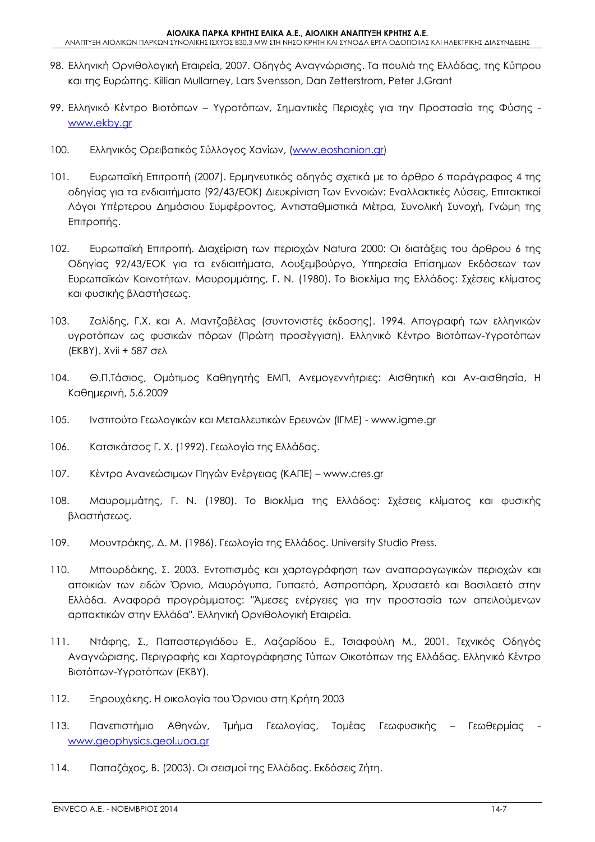- 98. Ελληνική Ορνιθολογική Εταιρεία, 2007. Οδηγός Αναγνώρισης. Τα πουλιά της Ελλάδας, της Κύπρου και της Ευρώπης. Killian Mullarney, Lars Svensson, Dan Zetterstrom, Peter J.Grant
- 99. Ελληνικό Κέντρο Βιοτόπων Υγροτόπων, Σημαντικές Περιοχές για την Προστασία της Φύσης www.ekby.gr
- 100. Ελληνικός Ορειβατικός Σύλλογος Χανίων, (www.eoshanion.gr)
- 101. Ευρωπαϊκή Επιτροπή (2007). Ερμηνευτικός οδηγός σχετικά με το άρθρο 6 παράγραφος 4 της οδηγίας για τα ενδιαιτήματα (92/43/ΕΟΚ) Διευκρίνιση Των Εννοιών: Εναλλακτικές Λύσεις, Επιτακτικοί Λόγοι Υπέρτερου Δημόσιου Συμφέροντος, Αντισταθμιστικά Μέτρα, Συνολική Συνοχή, Γνώμη της Επιτροπής.
- 102. Ευρωπαϊκή Επιτροπή. Διαχείριση των περιοχών Natura 2000: Οι διατάξεις του άρθρου 6 της Οδηγίας 92/43/ΕΟΚ για τα ενδιαιτήματα, Λουξεμβούργο, Υπηρεσία Επίσημων Εκδόσεων των Ευρωπαϊκών Κοινοτήτων. Μαυρομμάτης, Γ. Ν. (1980). Το Βιοκλίμα της Ελλάδος: Σχέσεις κλίματος και φυσικής βλαστήσεως.
- 103. Ζαλίδης, Γ.Χ. και Α. Μαντζαβέλας (συντονιστές έκδοσης). 1994. Απογραφή των ελληνικών υγροτόπων ως φυσικών πόρων (Πρώτη προσέγγιση). Ελληνικό Κέντρο Βιοτόπων-Υγροτόπων (ΕΚΒΥ). Xvii + 587 σελ
- 104. Θ.Π.Τάσιος, Ομότιμος Καθηγητής ΕΜΠ, Ανεμογεννήτριες: Αισθητική και Αν-αισθησία, Η Καθημερινή, 5.6.2009
- 105. Ινστιτούτο Γεωλογικών και Μεταλλευτικών Ερευνών (ΙΓΜΕ) www.igme.gr
- 106. Κατσικάτσος Γ. Χ. (1992). Γεωλογία της Ελλάδας.
- 107. Κέντρο Ανανεώσιμων Πηγών Ενέργειας (ΚΑΠΕ) www.cres.gr
- 108. Μαυρομμάτης, Γ. Ν. (1980). Το Βιοκλίμα της Ελλάδος: Σχέσεις κλίματος και φυσικής βλαστήσεως.
- 109. Μουντράκης, Δ. Μ. (1986). Γεωλογία της Ελλάδος. University Studio Press.
- 110. Μπουρδάκης, Σ. 2003. Εντοπισμός και χαρτογράφηση των αναπαραγωγικών περιοχών και αποικιών των ειδών Όρνιο, Μαυρόγυπα, Γυπαετό, Ασπροπάρη, Χρυσαετό και Βασιλαετό στην Ελλάδα. Αναφορά προγράμματος: "Άμεσες ενέργειες για την προστασία των απειλούμενων αρπακτικών στην Ελλάδα". Ελληνική Ορνιθολογική Εταιρεία.
- 111. Ντάφης, Σ., Παπαστεργιάδου Ε., Λαζαρίδου Ε., Τσιαφούλη Μ., 2001. Τεχνικός Οδηγός Αναγνώρισης, Περιγραφής και Χαρτογράφησης Τύπων Οικοτόπων της Ελλάδας. Ελληνικό Κέντρο Βιοτόπων-Υγροτόπων (ΕΚΒΥ).
- 112. Ξηρουχάκης, Η οικολογία του Όρνιου στη Κρήτη 2003
- 113. Πανεπιστήμιο Αθηνών, Τμήμα Γεωλογίας, Τομέας Γεωφυσικής Γεωθερμίας www.geophysics.geol.uoa.gr
- 114. Παπαζάχος, Β. (2003). Οι σεισμοί της Ελλάδας. Εκδόσεις Ζήτη.